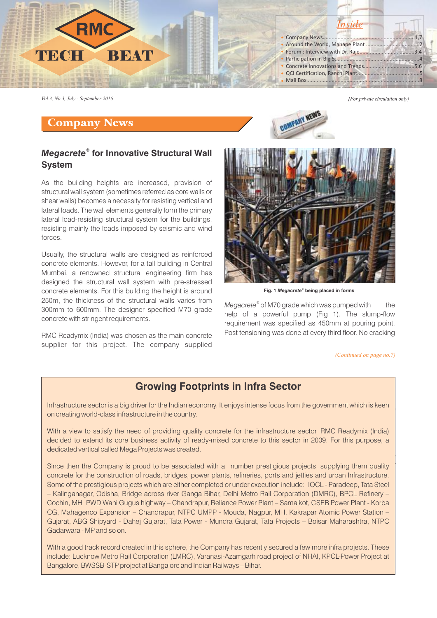

*Vol.3, No.3, July - September 2016*

#### Company News

# **GOMPANY NET**

#### *® Megacrete* **for Innovative Structural Wall System**

As the building heights are increased, provision of structural wall system (sometimes referred as core walls or shear walls) becomes a necessity for resisting vertical and lateral loads. The wall elements generally form the primary lateral load-resisting structural system for the buildings, resisting mainly the loads imposed by seismic and wind forces.

Usually, the structural walls are designed as reinforced concrete elements. However, for a tall building in Central Mumbai, a renowned structural engineering firm has designed the structural wall system with pre-stressed concrete elements. For this building the height is around 250m, the thickness of the structural walls varies from 300mm to 600mm. The designer specified M70 grade concrete with stringent requirements.

RMC Readymix (India) was chosen as the main concrete supplier for this project. The company supplied



**Fig. 1** *Megacrete* **being placed in forms** *®*

Megacrete® of M70 grade which was pumped with the help of a powerful pump (Fig 1). The slump-flow requirement was specified as 450mm at pouring point. Post tensioning was done at every third floor. No cracking

*(Continued on page no.7)*

{For private circulation only}

#### $\mathcal{L}_{\text{max}}$  point  $\mathcal{L}_{\text{max}}$ **Growing Footprints in Infra Sector**

Infrastructure sector is a big driver for the Indian economy. It enjoys intense focus from the government which is keen certificate from the Ready Mixed Concrete Manufacturers' on creating world-class infrastructure in the country.

decided to extend its core business activity of ready-mixed concrete to this sector in 2009. For this purpose, a the National safety Council (NSC) and a detailed manual containing a comprehensive check list was prepared. The With a view to satisfy the need of providing quality concrete for the infrastructure sector, RMC Readymix (India) dedicated vertical called Mega Projects was created.

Since then the Company is proud to be associated with a number prestigious projects, supplying them quality | concrete for the construction of roads, bridges, power plants, refineries, ports and jetties and urban Infrastructure. Some of the prestigious projects which are either completed or under execution include: IOCL - Paradeep, Tata Steel – Kalinganagar, Odisha, Bridge across river Ganga Bihar, Delhi Metro Rail Corporation (DMRC), BPCL Refinery – Cochin, MH PWD Wani Gugus highway – Chandrapur, Reliance Power Plant – Samalkot, CSEB Power Plant - Korba CG, Mahagenco Expansion – Chandrapur, NTPC UMPP - Mouda, Nagpur, MH, Kakrapar Atomic Power Station – Gujarat, ABG Shipyard - Dahej Gujarat, Tata Power - Mundra Gujarat, Tata Projects – Boisar Maharashtra, NTPC Gadarwara - MP and so on.

With a good track record created in this sphere, the Company has recently secured a few more infra projects. These include: Lucknow Metro Rail Corporation (LMRC), Varanasi-Azamgarh road project of NHAI, KPCL-Power Project at Bangalore, BWSSB-STP project at Bangalore and Indian Railways – Bihar.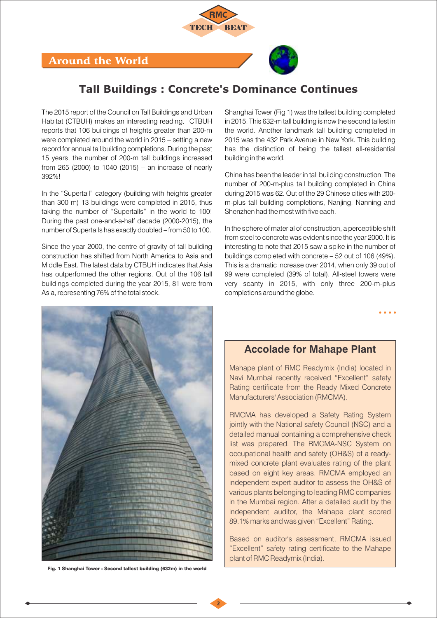

# Around the World

# **Tall Buildings : Concrete's Dominance Continues**

The 2015 report of the Council on Tall Buildings and Urban Habitat (CTBUH) makes an interesting reading. CTBUH reports that 106 buildings of heights greater than 200-m were completed around the world in 2015 – setting a new record for annual tall building completions. During the past 15 years, the number of 200-m tall buildings increased from 265 (2000) to 1040 (2015) – an increase of nearly 392%!

In the "Supertall" category (building with heights greater than 300 m) 13 buildings were completed in 2015, thus taking the number of "Supertalls" in the world to 100! During the past one-and-a-half decade (2000-2015), the number of Supertalls has exactly doubled – from 50 to 100.

Since the year 2000, the centre of gravity of tall building construction has shifted from North America to Asia and Middle East. The latest data by CTBUH indicates that Asia has outperformed the other regions. Out of the 106 tall buildings completed during the year 2015, 81 were from Asia, representing 76% of the total stock.

Shanghai Tower (Fig 1) was the tallest building completed in 2015. This 632-m tall building is now the second tallest in the world. Another landmark tall building completed in 2015 was the 432 Park Avenue in New York. This building has the distinction of being the tallest all-residential building in the world.

China has been the leader in tall building construction. The number of 200-m-plus tall building completed in China during 2015 was 62. Out of the 29 Chinese cities with 200 m-plus tall building completions, Nanjing, Nanning and Shenzhen had the most with five each.

In the sphere of material of construction, a perceptible shift from steel to concrete was evident since the year 2000. It is interesting to note that 2015 saw a spike in the number of buildings completed with concrete – 52 out of 106 (49%). This is a dramatic increase over 2014, when only 39 out of 99 were completed (39% of total). All-steel towers were very scanty in 2015, with only three 200-m-plus completions around the globe.



Fig. 1 Shanghai Tower : Second tallest building (632m) in the world

## **Accolade for Mahape Plant**

Mahape plant of RMC Readymix (India) located in Navi Mumbai recently received "Excellent" safety Rating certificate from the Ready Mixed Concrete Manufacturers' Association (RMCMA).

RMCMA has developed a Safety Rating System jointly with the National safety Council (NSC) and a detailed manual containing a comprehensive check list was prepared. The RMCMA-NSC System on occupational health and safety (OH&S) of a readymixed concrete plant evaluates rating of the plant based on eight key areas. RMCMA employed an independent expert auditor to assess the OH&S of various plants belonging to leading RMC companies in the Mumbai region. After a detailed audit by the independent auditor, the Mahape plant scored 89.1% marks and was given "Excellent" Rating.

Based on auditor's assessment, RMCMA issued "Excellent" safety rating certificate to the Mahape plant of RMC Readymix (India).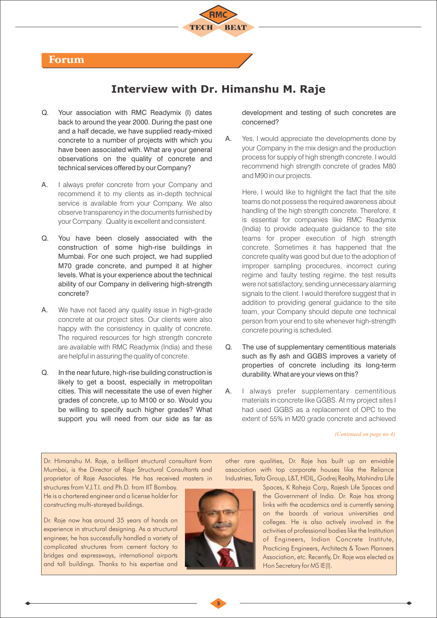

# **Interview with Dr. Himanshu M. Raje**

- Q. Your association with RMC Readymix (I) dates back to around the year 2000. During the past one and a half decade, we have supplied ready-mixed concrete to a number of projects with which you have been associated with. What are your general observations on the quality of concrete and technical services offered by our Company?
- A. I always prefer concrete from your Company and recommend it to my clients as in-depth technical service is available from your Company. We also observe transparency in the documents furnished by your Company. Quality is excellent and consistent.
- Q. You have been closely associated with the construction of some high-rise buildings in Mumbai. For one such project, we had supplied M70 grade concrete, and pumped it at higher levels. What is your experience about the technical ability of our Company in delivering high-strength concrete?
- A. We have not faced any quality issue in high-grade concrete at our project sites. Our clients were also happy with the consistency in quality of concrete. The required resources for high strength concrete are available with RMC Readymix (India) and these are helpful in assuring the quality of concrete.
- Q. In the near future, high-rise building construction is likely to get a boost, especially in metropolitan cities. This will necessitate the use of even higher grades of concrete, up to M100 or so. Would you be willing to specify such higher grades? What support you will need from our side as far as

development and testing of such concretes are concerned?

A. Yes, I would appreciate the developments done by your Company in the mix design and the production process for supply of high strength concrete. I would recommend high strength concrete of grades M80 and M90 in our projects.

Here, I would like to highlight the fact that the site teams do not possess the required awareness about handling of the high strength concrete. Therefore, it is essential for companies like RMC Readymix (India) to provide adequate guidance to the site teams for proper execution of high strength concrete. Sometimes it has happened that the concrete quality was good but due to the adoption of improper sampling procedures, incorrect curing regime and faulty testing regime, the test results were not satisfactory, sending unnecessary alarming signals to the client. I would therefore suggest that in addition to providing general guidance to the site team, your Company should depute one technical person from your end to site whenever high-strength concrete pouring is scheduled.

- Q. The use of supplementary cementitious materials such as fly ash and GGBS improves a variety of properties of concrete including its long-term durability. What are your views on this?
- A. I always prefer supplementary cementitious materials in concrete like GGBS. At my project sites I had used GGBS as a replacement of OPC to the extent of 55% in M20 grade concrete and achieved

*(Continued on page no.4)*

Dr. Himanshu M. Raje, a brilliant structural consultant from Mumbai, is the Director of Raje Structural Consultants and proprietor of Raje Associates. He has received masters in

structures from V.J.T.I. and Ph.D. from IIT Bombay. He is a chartered engineer and a license holder for constructing multi-storeyed buildings.

Dr. Raje now has around 35 years of hands on experience in structural designing. As a structural engineer, he has successfully handled a variety of complicated structures from cement factory to bridges and expressways, international airports and tall buildings. Thanks to his expertise and



other rare qualities, Dr. Raje has built up an enviable association with top corporate houses like the Reliance Industries, Tata Group, L&T, HDIL, Godrej Realty, Mahindra Life

Spaces, K Raheja Corp, Rajesh Life Spaces and the Government of India. Dr. Raje has strong links with the academics and is currently serving on the boards of various universities and colleges. He is also actively involved in the activities of professional bodies like the Institution of Engineers, Indian Concrete Institute, Practicing Engineers, Architects & Town Planners Association, etc. Recently, Dr. Raje was elected as Hon Secretary for MS IE(I).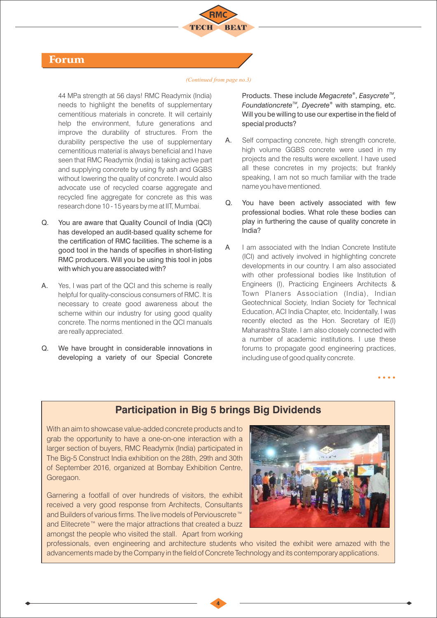

#### Forum

#### *(Continued from page no.3)*

44 MPa strength at 56 days! RMC Readymix (India) needs to highlight the benefits of supplementary cementitious materials in concrete. It will certainly help the environment, future generations and improve the durability of structures. From the durability perspective the use of supplementary cementitious material is always beneficial and I have seen that RMC Readymix (India) is taking active part and supplying concrete by using fly ash and GGBS without lowering the quality of concrete. I would also advocate use of recycled coarse aggregate and recycled fine aggregate for concrete as this was research done 10 - 15 years by me at IIT, Mumbai.

- Q. You are aware that Quality Council of India (QCI) has developed an audit-based quality scheme for the certification of RMC facilities. The scheme is a good tool in the hands of specifies in short-listing RMC producers. Will you be using this tool in jobs with which you are associated with?
- A. Yes, I was part of the QCI and this scheme is really helpful for quality-conscious consumers of RMC. It is necessary to create good awareness about the scheme within our industry for using good quality concrete. The norms mentioned in the QCI manuals are really appreciated.
- Q. We have brought in considerable innovations in developing a variety of our Special Concrete

Products. These include *Megacrete*<sup>®</sup>, *Easycrete<sup>™</sup>, Foundationcrete<sup>™</sup>, Dyecrete®* with stamping, etc. Will you be willing to use our expertise in the field of special products?

- A. Self compacting concrete, high strength concrete, high volume GGBS concrete were used in my projects and the results were excellent. I have used all these concretes in my projects; but frankly speaking, I am not so much familiar with the trade name you have mentioned.
- Q. You have been actively associated with few professional bodies. What role these bodies can play in furthering the cause of quality concrete in India?
- A I am associated with the Indian Concrete Institute (ICI) and actively involved in highlighting concrete developments in our country. I am also associated with other professional bodies like Institution of Engineers (I), Practicing Engineers Architects & Town Planers Association (India), Indian Geotechnical Society, Indian Society for Technical Education, ACI India Chapter, etc. Incidentally, I was recently elected as the Hon. Secretary of IE(I) Maharashtra State. I am also closely connected with a number of academic institutions. I use these forums to propagate good engineering practices, including use of good quality concrete.

## **Participation in Big 5 brings Big Dividends**

With an aim to showcase value-added concrete products and to grab the opportunity to have a one-on-one interaction with a larger section of buyers, RMC Readymix (India) participated in The Big-5 Construct India exhibition on the 28th, 29th and 30th of September 2016, organized at Bombay Exhibition Centre, Goregaon.

Garnering a footfall of over hundreds of visitors, the exhibit received a very good response from Architects, Consultants and Builders of various firms. The live models of Perviouscrete™ and Elitecrete™ were the major attractions that created a buzz amongst the people who visited the stall. Apart from working



professionals, even engineering and architecture students who visited the exhibit were amazed with the advancements made by the Company in the field of Concrete Technology and its contemporary applications.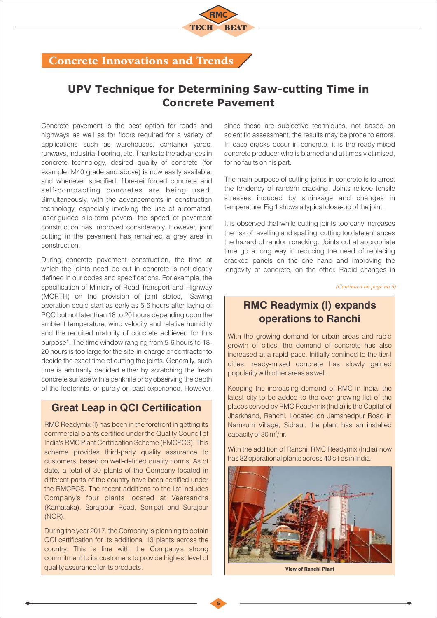# Concrete Innovations and Trends

# **UPV Technique for Determining Saw-cutting Time in Concrete Pavement**

Concrete pavement is the best option for roads and highways as well as for floors required for a variety of applications such as warehouses, container yards, runways, industrial flooring, etc. Thanks to the advances in concrete technology, desired quality of concrete (for example, M40 grade and above) is now easily available, and whenever specified, fibre-reinforced concrete and self-compacting concretes are being used. Simultaneously, with the advancements in construction technology, especially involving the use of automated, laser-guided slip-form pavers, the speed of pavement construction has improved considerably. However, joint cutting in the pavement has remained a grey area in construction.

During concrete pavement construction, the time at which the joints need be cut in concrete is not clearly defined in our codes and specifications. For example, the specification of Ministry of Road Transport and Highway (MORTH) on the provision of joint states, "Sawing operation could start as early as 5-6 hours after laying of PQC but not later than 18 to 20 hours depending upon the ambient temperature, wind velocity and relative humidity and the required maturity of concrete achieved for this purpose". The time window ranging from 5-6 hours to 18- 20 hours is too large for the site-in-charge or contractor to decide the exact time of cutting the joints. Generally, such time is arbitrarily decided either by scratching the fresh concrete surface with a penknife or by observing the depth of the footprints, or purely on past experience. However,

#### **Great Leap in QCI Certification**

RMC Readymix (I) has been in the forefront in getting its commercial plants certified under the Quality Council of India's RMC Plant Certification Scheme (RMCPCS). This scheme provides third-party quality assurance to customers, based on well-defined quality norms. As of date, a total of 30 plants of the Company located in different parts of the country have been certified under the RMCPCS. The recent additions to the list includes Company's four plants located at Veersandra (Karnataka), Sarajapur Road, Sonipat and Surajpur (NCR).

During the year 2017, the Company is planning to obtain QCI certification for its additional 13 plants across the country. This is line with the Company's strong commitment to its customers to provide highest level of quality assurance for its products.  $\Box$ 

since these are subjective techniques, not based on scientific assessment, the results may be prone to errors. In case cracks occur in concrete, it is the ready-mixed concrete producer who is blamed and at times victimised, for no faults on his part.

The main purpose of cutting joints in concrete is to arrest the tendency of random cracking. Joints relieve tensile stresses induced by shrinkage and changes in temperature. Fig 1 shows a typical close-up of the joint.

It is observed that while cutting joints too early increases the risk of ravelling and spalling, cutting too late enhances the hazard of random cracking. Joints cut at appropriate time go a long way in reducing the need of replacing cracked panels on the one hand and improving the longevity of concrete, on the other. Rapid changes in

*(Continued on page no.6)*

# **RMC Readymix (I) expands operations to Ranchi**

With the growing demand for urban areas and rapid growth of cities, the demand of concrete has also increased at a rapid pace. Initially confined to the tier-I cities, ready-mixed concrete has slowly gained popularity with other areas as well.

Keeping the increasing demand of RMC in India, the latest city to be added to the ever growing list of the places served by RMC Readymix (India) is the Capital of Jharkhand, Ranchi. Located on Jamshedpur Road in Namkum Village, Sidraul, the plant has an installed capacity of 30 m<sup>3</sup>/hr.

With the addition of Ranchi, RMC Readymix (India) now has 82 operational plants across 40 cities in India.



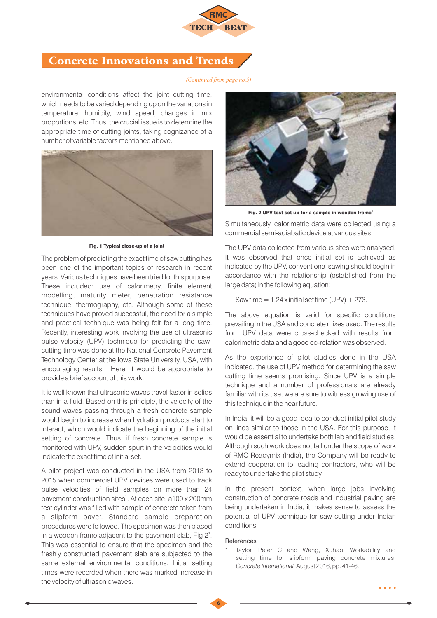

## Concrete Innovations and Trends

#### *(Continued from page no.5)*

environmental conditions affect the joint cutting time, which needs to be varied depending up on the variations in temperature, humidity, wind speed, changes in mix proportions, etc. Thus, the crucial issue is to determine the appropriate time of cutting joints, taking cognizance of a number of variable factors mentioned above.



Fig. 1 Typical close-up of a joint

The problem of predicting the exact time of saw cutting has been one of the important topics of research in recent years. Various techniques have been tried for this purpose. These included: use of calorimetry, finite element modelling, maturity meter, penetration resistance technique, thermography, etc. Although some of these techniques have proved successful, the need for a simple and practical technique was being felt for a long time. Recently, interesting work involving the use of ultrasonic pulse velocity (UPV) technique for predicting the sawcutting time was done at the National Concrete Pavement Technology Center at the Iowa State University, USA, with encouraging results. Here, it would be appropriate to provide a brief account of this work.

It is well known that ultrasonic waves travel faster in solids than in a fluid. Based on this principle, the velocity of the sound waves passing through a fresh concrete sample would begin to increase when hydration products start to interact, which would indicate the beginning of the initial setting of concrete. Thus, if fresh concrete sample is monitored with UPV, sudden spurt in the velocities would indicate the exact time of initial set.

A pilot project was conducted in the USA from 2013 to 2015 when commercial UPV devices were used to track pulse velocities of field samples on more than 24 pavement construction sites<sup>1</sup>. At each site, a100 x 200mm test cylinder was filled with sample of concrete taken from a slipform paver. Standard sample preparation procedures were followed. The specimen was then placed in a wooden frame adjacent to the pavement slab, Fig  $2^1$ . This was essential to ensure that the specimen and the freshly constructed pavement slab are subjected to the same external environmental conditions. Initial setting times were recorded when there was marked increase in the velocity of ultrasonic waves.



Fig. 2 UPV test set up for a sample in wooden frame

Simultaneously, calorimetric data were collected using a commercial semi-adiabatic device at various sites.

The UPV data collected from various sites were analysed. It was observed that once initial set is achieved as indicated by the UPV, conventional sawing should begin in accordance with the relationship (established from the large data) in the following equation:

Saw time  $= 1.24$  x initial set time (UPV)  $+ 273$ .

The above equation is valid for specific conditions prevailing in the USA and concrete mixes used. The results from UPV data were cross-checked with results from calorimetric data and a good co-relation was observed.

As the experience of pilot studies done in the USA indicated, the use of UPV method for determining the saw cutting time seems promising. Since UPV is a simple technique and a number of professionals are already familiar with its use, we are sure to witness growing use of this technique in the near future.

In India, it will be a good idea to conduct initial pilot study on lines similar to those in the USA. For this purpose, it would be essential to undertake both lab and field studies. Although such work does not fall under the scope of work of RMC Readymix (India), the Company will be ready to extend cooperation to leading contractors, who will be ready to undertake the pilot study.

In the present context, when large jobs involving construction of concrete roads and industrial paving are being undertaken in India, it makes sense to assess the potential of UPV technique for saw cutting under Indian conditions.

#### References

1. Taylor, Peter C and Wang, Xuhao, Workability and setting time for slipform paving concrete mixtures, *Concrete International,* August 2016, pp. 41-46.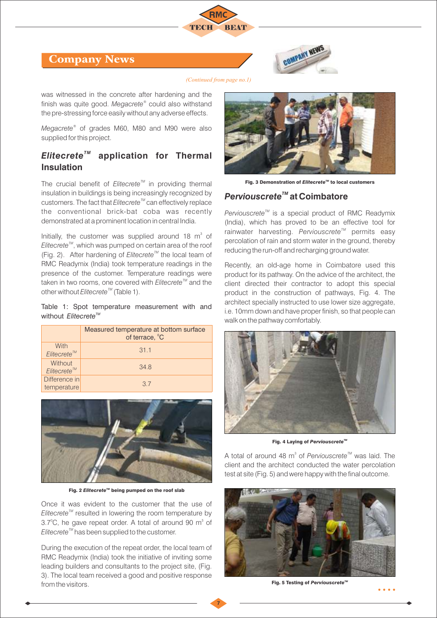





*(Continued from page no.1)*

was witnessed in the concrete after hardening and the finish was quite good. *Megacrete* could also withstand *®* the pre-stressing force easily without any adverse effects.

*® Megacrete* of grades M60, M80 and M90 were also supplied for this project.

## *TM Elitecrete* **application for Thermal Insulation**

The crucial benefit of *Elitecrete<sup>™</sup>* in providing thermal insulation in buildings is being increasingly recognized by customers. The fact that *Elitecrete<sup>™</sup>* can effectively replace the conventional brick-bat coba was recently demonstrated at a prominent location in central India.

Initially, the customer was supplied around 18  $m^3$  of *Elitecrete<sup>™</sup>*, which was pumped on certain area of the roof *(Fig. 2).* After hardening of *Elitecrete<sup>™</sup>* the local team of RMC Readymix (India) took temperature readings in the presence of the customer. Temperature readings were taken in two rooms, one covered with *Elitecrete<sup>™</sup>* and the *TM* other without *Elitecrete* (Table 1).

Table 1: Spot temperature measurement with and *without Elitecrete™* 

|                                    | Measured temperature at bottom surface<br>of terrace, °C |
|------------------------------------|----------------------------------------------------------|
| With<br>Elitecrete <sup>™</sup>    | 31.1                                                     |
| Without<br>Elitecrete <sup>™</sup> | 34.8                                                     |
| Difference in<br>temperature       | $\overline{3}$ 7                                         |



**Fig. 2 Elitecrete<sup>™</sup> being pumped on the roof slab** 

Once it was evident to the customer that the use of *Elitecrete<sup>™</sup>* resulted in lowering the room temperature by 3.7 $^{\circ}$ C, he gave repeat order. A total of around 90 m $^{\circ}$  of *Elitecrete<sup>™</sup>* has been supplied to the customer.

During the execution of the repeat order, the local team of RMC Readymix (India) took the initiative of inviting some leading builders and consultants to the project site, (Fig. 3). The local team received a good and positive response from the visitors.



**Fig. 3 Demonstration of** *Elitecrete<sup>™</sup>* **to local customers** 

#### *Perviouscrete™* **at Coimbatore**

*Perviouscrete<sup>™</sup>* is a special product of RMC Readymix (India), which has proved to be an effective tool for rainwater harvesting. Perviouscrete<sup>™</sup> permits easy percolation of rain and storm water in the ground, thereby reducing the run-off and recharging ground water.

Recently, an old-age home in Coimbatore used this product for its pathway. On the advice of the architect, the client directed their contractor to adopt this special product in the construction of pathways, Fig. 4. The architect specially instructed to use lower size aggregate. i.e. 10mm down and have proper finish, so that people can walk on the pathway comfortably.



Fig. 4 Laying of *Perviouscrete<sup>n</sup>* 

A total of around 48 m<sup>3</sup> of *Perviouscrete<sup>™</sup>* was laid. The client and the architect conducted the water percolation test at site (Fig. 5) and were happy with the final outcome.



**Fig. 5 Testing of Perviouscrete<sup>™</sup>**